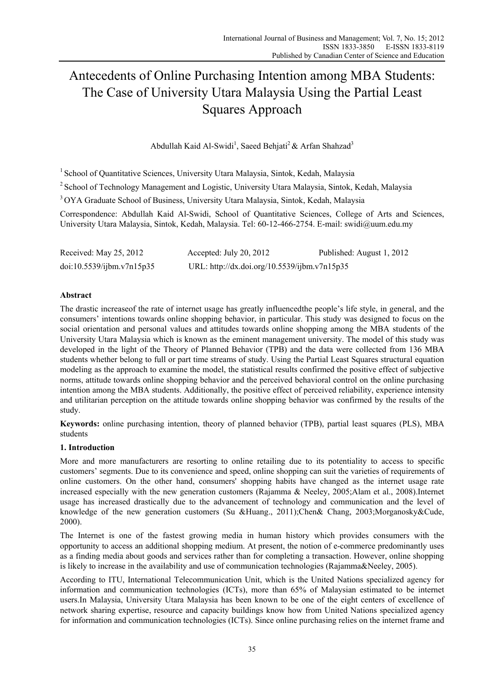# Antecedents of Online Purchasing Intention among MBA Students: The Case of University Utara Malaysia Using the Partial Least Squares Approach

Abdullah Kaid Al-Swidi<sup>1</sup>, Saeed Behjati<sup>2</sup> & Arfan Shahzad<sup>3</sup>

<sup>1</sup> School of Quantitative Sciences, University Utara Malaysia, Sintok, Kedah, Malaysia

<sup>2</sup> School of Technology Management and Logistic, University Utara Malaysia, Sintok, Kedah, Malaysia

<sup>3</sup> OYA Graduate School of Business, University Utara Malaysia, Sintok, Kedah, Malaysia

Correspondence: Abdullah Kaid Al-Swidi, School of Quantitative Sciences, College of Arts and Sciences, University Utara Malaysia, Sintok, Kedah, Malaysia. Tel: 60-12-466-2754. E-mail: swidi@uum.edu.my

| Received: May 25, 2012    | Accepted: July 20, 2012                      | Published: August 1, 2012 |
|---------------------------|----------------------------------------------|---------------------------|
| doi:10.5539/ijbm.v7n15p35 | URL: http://dx.doi.org/10.5539/ijbm.v7n15p35 |                           |

# **Abstract**

The drastic increaseof the rate of internet usage has greatly influencedthe people's life style, in general, and the consumers' intentions towards online shopping behavior, in particular. This study was designed to focus on the social orientation and personal values and attitudes towards online shopping among the MBA students of the University Utara Malaysia which is known as the eminent management university. The model of this study was developed in the light of the Theory of Planned Behavior (TPB) and the data were collected from 136 MBA students whether belong to full or part time streams of study. Using the Partial Least Squares structural equation modeling as the approach to examine the model, the statistical results confirmed the positive effect of subjective norms, attitude towards online shopping behavior and the perceived behavioral control on the online purchasing intention among the MBA students. Additionally, the positive effect of perceived reliability, experience intensity and utilitarian perception on the attitude towards online shopping behavior was confirmed by the results of the study.

**Keywords:** online purchasing intention, theory of planned behavior (TPB), partial least squares (PLS), MBA students

# **1. Introduction**

More and more manufacturers are resorting to online retailing due to its potentiality to access to specific customers' segments. Due to its convenience and speed, online shopping can suit the varieties of requirements of online customers. On the other hand, consumers' shopping habits have changed as the internet usage rate increased especially with the new generation customers (Rajamma & Neeley, 2005;Alam et al., 2008).Internet usage has increased drastically due to the advancement of technology and communication and the level of knowledge of the new generation customers (Su &Huang., 2011);Chen& Chang, 2003;Morganosky&Cude, 2000).

The Internet is one of the fastest growing media in human history which provides consumers with the opportunity to access an additional shopping medium. At present, the notion of e-commerce predominantly uses as a finding media about goods and services rather than for completing a transaction. However, online shopping is likely to increase in the availability and use of communication technologies (Rajamma&Neeley, 2005).

According to ITU, International Telecommunication Unit, which is the United Nations specialized agency for information and communication technologies (ICTs), more than 65% of Malaysian estimated to be internet users.In Malaysia, University Utara Malaysia has been known to be one of the eight centers of excellence of network sharing expertise, resource and capacity buildings know how from United Nations specialized agency for information and communication technologies (ICTs). Since online purchasing relies on the internet frame and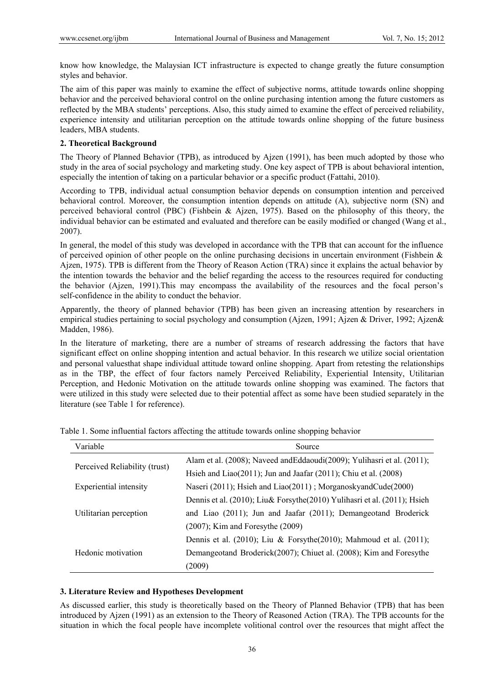know how knowledge, the Malaysian ICT infrastructure is expected to change greatly the future consumption styles and behavior.

The aim of this paper was mainly to examine the effect of subjective norms, attitude towards online shopping behavior and the perceived behavioral control on the online purchasing intention among the future customers as reflected by the MBA students' perceptions. Also, this study aimed to examine the effect of perceived reliability, experience intensity and utilitarian perception on the attitude towards online shopping of the future business leaders, MBA students.

## **2. Theoretical Background**

The Theory of Planned Behavior (TPB), as introduced by Ajzen (1991), has been much adopted by those who study in the area of social psychology and marketing study. One key aspect of TPB is about behavioral intention, especially the intention of taking on a particular behavior or a specific product (Fattahi, 2010).

According to TPB, individual actual consumption behavior depends on consumption intention and perceived behavioral control. Moreover, the consumption intention depends on attitude (A), subjective norm (SN) and perceived behavioral control (PBC) (Fishbein & Ajzen, 1975). Based on the philosophy of this theory, the individual behavior can be estimated and evaluated and therefore can be easily modified or changed (Wang et al., 2007).

In general, the model of this study was developed in accordance with the TPB that can account for the influence of perceived opinion of other people on the online purchasing decisions in uncertain environment (Fishbein & Ajzen, 1975). TPB is different from the Theory of Reason Action (TRA) since it explains the actual behavior by the intention towards the behavior and the belief regarding the access to the resources required for conducting the behavior (Ajzen, 1991).This may encompass the availability of the resources and the focal person's self-confidence in the ability to conduct the behavior.

Apparently, the theory of planned behavior (TPB) has been given an increasing attention by researchers in empirical studies pertaining to social psychology and consumption (Ajzen, 1991; Ajzen & Driver, 1992; Ajzen & Madden, 1986).

In the literature of marketing, there are a number of streams of research addressing the factors that have significant effect on online shopping intention and actual behavior. In this research we utilize social orientation and personal valuesthat shape individual attitude toward online shopping. Apart from retesting the relationships as in the TBP, the effect of four factors namely Perceived Reliability, Experiential Intensity, Utilitarian Perception, and Hedonic Motivation on the attitude towards online shopping was examined. The factors that were utilized in this study were selected due to their potential affect as some have been studied separately in the literature (see Table 1 for reference).

| Variable                      | Source                                                                       |  |  |  |
|-------------------------------|------------------------------------------------------------------------------|--|--|--|
|                               | Alam et al. (2008); Naveed and Eddaoudi(2009); Yulihasri et al. (2011);      |  |  |  |
| Perceived Reliability (trust) | Hsieh and Liao $(2011)$ ; Jun and Jaafar $(2011)$ ; Chiu et al. $(2008)$     |  |  |  |
| Experiential intensity        | Naseri (2011); Hsieh and Liao(2011); MorganoskyandCude(2000)                 |  |  |  |
|                               | Dennis et al. (2010); Liu& Forsythe(2010) Yulihasri et al. (2011); Hsieh     |  |  |  |
| Utilitarian perception        | and Liao (2011); Jun and Jaafar (2011); Demangeotand Broderick               |  |  |  |
|                               | $(2007)$ ; Kim and Foresythe $(2009)$                                        |  |  |  |
|                               | Dennis et al. $(2010)$ ; Liu & Forsythe $(2010)$ ; Mahmoud et al. $(2011)$ ; |  |  |  |
| Hedonic motivation            | Demangeotand Broderick(2007); Chiuet al. (2008); Kim and Foresythe           |  |  |  |
|                               | (2009)                                                                       |  |  |  |

Table 1. Some influential factors affecting the attitude towards online shopping behavior

#### **3. Literature Review and Hypotheses Development**

As discussed earlier, this study is theoretically based on the Theory of Planned Behavior (TPB) that has been introduced by Ajzen (1991) as an extension to the Theory of Reasoned Action (TRA). The TPB accounts for the situation in which the focal people have incomplete volitional control over the resources that might affect the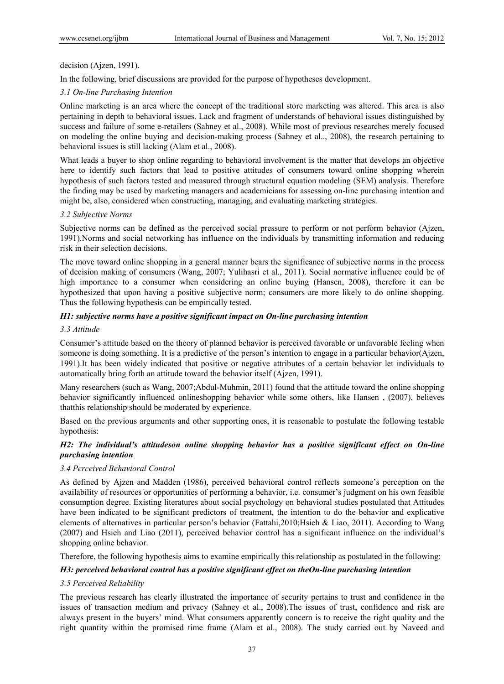## decision (Ajzen, 1991).

In the following, brief discussions are provided for the purpose of hypotheses development.

## *3.1 On-line Purchasing Intention*

Online marketing is an area where the concept of the traditional store marketing was altered. This area is also pertaining in depth to behavioral issues. Lack and fragment of understands of behavioral issues distinguished by success and failure of some e-retailers (Sahney et al., 2008). While most of previous researches merely focused on modeling the online buying and decision-making process (Sahney et al.., 2008), the research pertaining to behavioral issues is still lacking (Alam et al., 2008).

What leads a buyer to shop online regarding to behavioral involvement is the matter that develops an objective here to identify such factors that lead to positive attitudes of consumers toward online shopping wherein hypothesis of such factors tested and measured through structural equation modeling (SEM) analysis. Therefore the finding may be used by marketing managers and academicians for assessing on-line purchasing intention and might be, also, considered when constructing, managing, and evaluating marketing strategies.

## *3.2 Subjective Norms*

Subjective norms can be defined as the perceived social pressure to perform or not perform behavior (Ajzen, 1991).Norms and social networking has influence on the individuals by transmitting information and reducing risk in their selection decisions.

The move toward online shopping in a general manner bears the significance of subjective norms in the process of decision making of consumers (Wang, 2007; Yulihasri et al., 2011). Social normative influence could be of high importance to a consumer when considering an online buying (Hansen, 2008), therefore it can be hypothesized that upon having a positive subjective norm; consumers are more likely to do online shopping. Thus the following hypothesis can be empirically tested.

## *H1: subjective norms have a positive significant impact on On-line purchasing intention*

#### *3.3 Attitude*

Consumer's attitude based on the theory of planned behavior is perceived favorable or unfavorable feeling when someone is doing something. It is a predictive of the person's intention to engage in a particular behavior(Ajzen, 1991).It has been widely indicated that positive or negative attributes of a certain behavior let individuals to automatically bring forth an attitude toward the behavior itself (Ajzen, 1991).

Many researchers (such as Wang, 2007;Abdul-Muhmin, 2011) found that the attitude toward the online shopping behavior significantly influenced onlineshopping behavior while some others, like Hansen , (2007), believes thatthis relationship should be moderated by experience.

Based on the previous arguments and other supporting ones, it is reasonable to postulate the following testable hypothesis:

# *H2: The individual's attitudeson online shopping behavior has a positive significant effect on On-line purchasing intention*

#### *3.4 Perceived Behavioral Control*

As defined by Ajzen and Madden (1986), perceived behavioral control reflects someone's perception on the availability of resources or opportunities of performing a behavior, i.e. consumer's judgment on his own feasible consumption degree. Existing literatures about social psychology on behavioral studies postulated that Attitudes have been indicated to be significant predictors of treatment, the intention to do the behavior and explicative elements of alternatives in particular person's behavior (Fattahi,2010;Hsieh & Liao, 2011). According to Wang (2007) and Hsieh and Liao (2011), perceived behavior control has a significant influence on the individual's shopping online behavior.

Therefore, the following hypothesis aims to examine empirically this relationship as postulated in the following:

## *H3: perceived behavioral control has a positive significant effect on theOn-line purchasing intention*

## *3.5 Perceived Reliability*

The previous research has clearly illustrated the importance of security pertains to trust and confidence in the issues of transaction medium and privacy (Sahney et al., 2008).The issues of trust, confidence and risk are always present in the buyers' mind. What consumers apparently concern is to receive the right quality and the right quantity within the promised time frame (Alam et al., 2008). The study carried out by Naveed and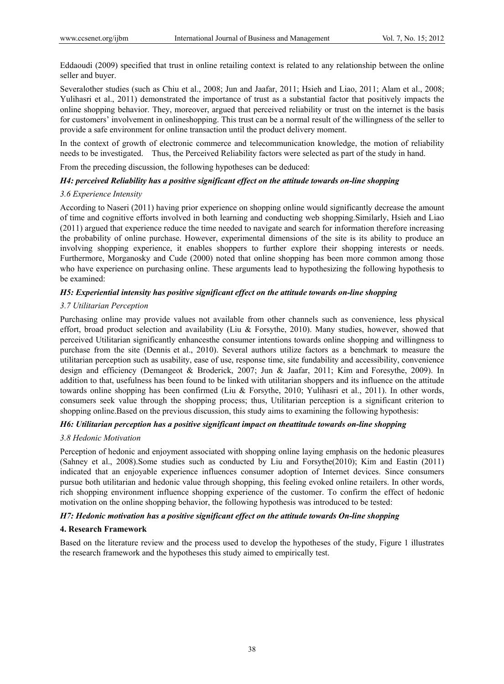Eddaoudi (2009) specified that trust in online retailing context is related to any relationship between the online seller and buyer.

Severalother studies (such as Chiu et al., 2008; Jun and Jaafar, 2011; Hsieh and Liao, 2011; Alam et al., 2008; Yulihasri et al., 2011) demonstrated the importance of trust as a substantial factor that positively impacts the online shopping behavior. They, moreover, argued that perceived reliability or trust on the internet is the basis for customers' involvement in onlineshopping. This trust can be a normal result of the willingness of the seller to provide a safe environment for online transaction until the product delivery moment.

In the context of growth of electronic commerce and telecommunication knowledge, the motion of reliability needs to be investigated. Thus, the Perceived Reliability factors were selected as part of the study in hand.

From the preceding discussion, the following hypotheses can be deduced:

## *H4: perceived Reliability has a positive significant effect on the attitude towards on-line shopping*

## *3.6 Experience Intensity*

According to Naseri (2011) having prior experience on shopping online would significantly decrease the amount of time and cognitive efforts involved in both learning and conducting web shopping.Similarly, Hsieh and Liao (2011) argued that experience reduce the time needed to navigate and search for information therefore increasing the probability of online purchase. However, experimental dimensions of the site is its ability to produce an involving shopping experience, it enables shoppers to further explore their shopping interests or needs. Furthermore, Morganosky and Cude (2000) noted that online shopping has been more common among those who have experience on purchasing online. These arguments lead to hypothesizing the following hypothesis to be examined:

# *H5: Experiential intensity has positive significant effect on the attitude towards on-line shopping*

#### *3.7 Utilitarian Perception*

Purchasing online may provide values not available from other channels such as convenience, less physical effort, broad product selection and availability (Liu & Forsythe, 2010). Many studies, however, showed that perceived Utilitarian significantly enhancesthe consumer intentions towards online shopping and willingness to purchase from the site (Dennis et al., 2010). Several authors utilize factors as a benchmark to measure the utilitarian perception such as usability, ease of use, response time, site fundability and accessibility, convenience design and efficiency (Demangeot & Broderick, 2007; Jun & Jaafar, 2011; Kim and Foresythe, 2009). In addition to that, usefulness has been found to be linked with utilitarian shoppers and its influence on the attitude towards online shopping has been confirmed (Liu & Forsythe, 2010; Yulihasri et al., 2011). In other words, consumers seek value through the shopping process; thus, Utilitarian perception is a significant criterion to shopping online.Based on the previous discussion, this study aims to examining the following hypothesis:

# *H6: Utilitarian perception has a positive significant impact on theattitude towards on-line shopping*

## *3.8 Hedonic Motivation*

Perception of hedonic and enjoyment associated with shopping online laying emphasis on the hedonic pleasures (Sahney et al., 2008).Some studies such as conducted by Liu and Forsythe(2010); Kim and Eastin (2011) indicated that an enjoyable experience influences consumer adoption of Internet devices. Since consumers pursue both utilitarian and hedonic value through shopping, this feeling evoked online retailers. In other words, rich shopping environment influence shopping experience of the customer. To confirm the effect of hedonic motivation on the online shopping behavior, the following hypothesis was introduced to be tested:

# *H7: Hedonic motivation has a positive significant effect on the attitude towards On-line shopping*

#### **4. Research Framework**

Based on the literature review and the process used to develop the hypotheses of the study, Figure 1 illustrates the research framework and the hypotheses this study aimed to empirically test.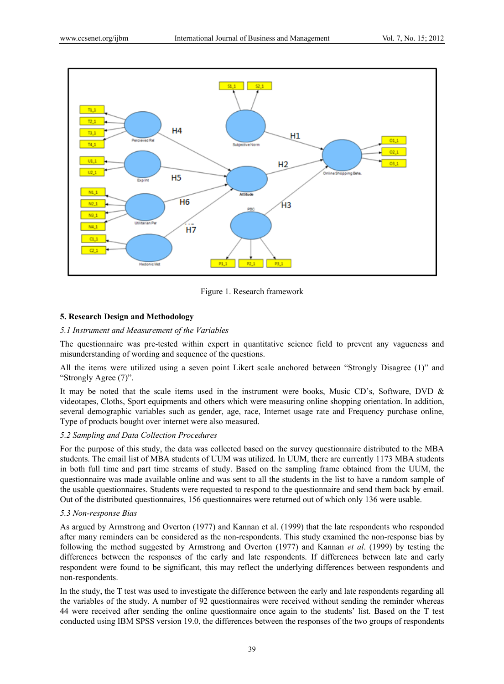

Figure 1. Research framework

# **5. Research Design and Methodology**

## *5.1 Instrument and Measurement of the Variables*

The questionnaire was pre-tested within expert in quantitative science field to prevent any vagueness and misunderstanding of wording and sequence of the questions.

All the items were utilized using a seven point Likert scale anchored between "Strongly Disagree (1)" and "Strongly Agree (7)".

It may be noted that the scale items used in the instrument were books, Music CD's, Software, DVD & videotapes, Cloths, Sport equipments and others which were measuring online shopping orientation. In addition, several demographic variables such as gender, age, race, Internet usage rate and Frequency purchase online, Type of products bought over internet were also measured.

## *5.2 Sampling and Data Collection Procedures*

For the purpose of this study, the data was collected based on the survey questionnaire distributed to the MBA students. The email list of MBA students of UUM was utilized. In UUM, there are currently 1173 MBA students in both full time and part time streams of study. Based on the sampling frame obtained from the UUM, the questionnaire was made available online and was sent to all the students in the list to have a random sample of the usable questionnaires. Students were requested to respond to the questionnaire and send them back by email. Out of the distributed questionnaires, 156 questionnaires were returned out of which only 136 were usable.

## *5.3 Non-response Bias*

As argued by Armstrong and Overton (1977) and Kannan et al. (1999) that the late respondents who responded after many reminders can be considered as the non-respondents. This study examined the non-response bias by following the method suggested by Armstrong and Overton (1977) and Kannan *et al*. (1999) by testing the differences between the responses of the early and late respondents. If differences between late and early respondent were found to be significant, this may reflect the underlying differences between respondents and non-respondents.

In the study, the T test was used to investigate the difference between the early and late respondents regarding all the variables of the study. A number of 92 questionnaires were received without sending the reminder whereas 44 were received after sending the online questionnaire once again to the students' list. Based on the T test conducted using IBM SPSS version 19.0, the differences between the responses of the two groups of respondents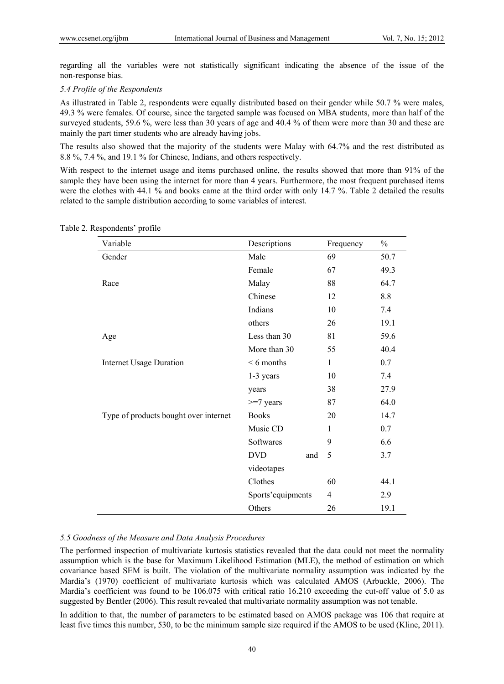regarding all the variables were not statistically significant indicating the absence of the issue of the non-response bias.

# *5.4 Profile of the Respondents*

As illustrated in Table 2, respondents were equally distributed based on their gender while 50.7 % were males, 49.3 % were females. Of course, since the targeted sample was focused on MBA students, more than half of the surveyed students, 59.6 %, were less than 30 years of age and 40.4 % of them were more than 30 and these are mainly the part timer students who are already having jobs.

The results also showed that the majority of the students were Malay with 64.7% and the rest distributed as 8.8 %, 7.4 %, and 19.1 % for Chinese, Indians, and others respectively.

With respect to the internet usage and items purchased online, the results showed that more than 91% of the sample they have been using the internet for more than 4 years. Furthermore, the most frequent purchased items were the clothes with 44.1 % and books came at the third order with only 14.7 %. Table 2 detailed the results related to the sample distribution according to some variables of interest.

| Variable                              | Descriptions      | Frequency      | $\%$ |
|---------------------------------------|-------------------|----------------|------|
| Gender                                | Male              | 69             | 50.7 |
|                                       | Female            | 67             | 49.3 |
| Race                                  | Malay             | 88             | 64.7 |
|                                       | Chinese           | 12             | 8.8  |
|                                       | Indians           | 10             | 7.4  |
|                                       | others            | 26             | 19.1 |
| Age                                   | Less than 30      | 81             | 59.6 |
|                                       | More than 30      | 55             | 40.4 |
| <b>Internet Usage Duration</b>        | $< 6$ months      | $\mathbf{1}$   | 0.7  |
|                                       | 1-3 years         | 10             | 7.4  |
|                                       | years             | 38             | 27.9 |
|                                       | $>=7$ years       | 87             | 64.0 |
| Type of products bought over internet | <b>Books</b>      | 20             | 14.7 |
|                                       | Music CD          | $\mathbf{1}$   | 0.7  |
|                                       | Softwares         | 9              | 6.6  |
|                                       | <b>DVD</b><br>and | 5              | 3.7  |
|                                       | videotapes        |                |      |
|                                       | Clothes           | 60             | 44.1 |
|                                       | Sports'equipments | $\overline{4}$ | 2.9  |
|                                       | Others            | 26             | 19.1 |

Table 2. Respondents' profile

#### *5.5 Goodness of the Measure and Data Analysis Procedures*

The performed inspection of multivariate kurtosis statistics revealed that the data could not meet the normality assumption which is the base for Maximum Likelihood Estimation (MLE), the method of estimation on which covariance based SEM is built. The violation of the multivariate normality assumption was indicated by the Mardia's (1970) coefficient of multivariate kurtosis which was calculated AMOS (Arbuckle, 2006). The Mardia's coefficient was found to be 106.075 with critical ratio 16.210 exceeding the cut-off value of 5.0 as suggested by Bentler (2006). This result revealed that multivariate normality assumption was not tenable.

In addition to that, the number of parameters to be estimated based on AMOS package was 106 that require at least five times this number, 530, to be the minimum sample size required if the AMOS to be used (Kline, 2011).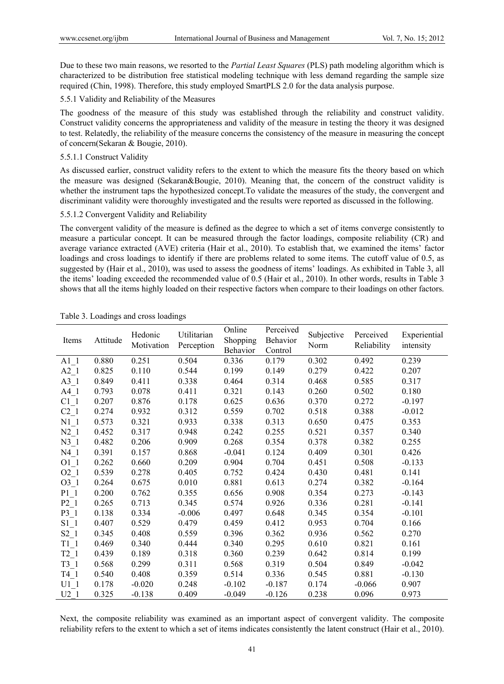Due to these two main reasons, we resorted to the *Partial Least Squares* (PLS) path modeling algorithm which is characterized to be distribution free statistical modeling technique with less demand regarding the sample size required (Chin, 1998). Therefore, this study employed SmartPLS 2.0 for the data analysis purpose.

# 5.5.1 Validity and Reliability of the Measures

The goodness of the measure of this study was established through the reliability and construct validity. Construct validity concerns the appropriateness and validity of the measure in testing the theory it was designed to test. Relatedly, the reliability of the measure concerns the consistency of the measure in measuring the concept of concern(Sekaran & Bougie, 2010).

## 5.5.1.1 Construct Validity

As discussed earlier, construct validity refers to the extent to which the measure fits the theory based on which the measure was designed (Sekaran&Bougie, 2010). Meaning that, the concern of the construct validity is whether the instrument taps the hypothesized concept.To validate the measures of the study, the convergent and discriminant validity were thoroughly investigated and the results were reported as discussed in the following.

## 5.5.1.2 Convergent Validity and Reliability

The convergent validity of the measure is defined as the degree to which a set of items converge consistently to measure a particular concept. It can be measured through the factor loadings, composite reliability (CR) and average variance extracted (AVE) criteria (Hair et al., 2010). To establish that, we examined the items' factor loadings and cross loadings to identify if there are problems related to some items. The cutoff value of 0.5, as suggested by (Hair et al., 2010), was used to assess the goodness of items' loadings. As exhibited in Table 3, all the items' loading exceeded the recommended value of 0.5 (Hair et al., 2010). In other words, results in Table 3 shows that all the items highly loaded on their respective factors when compare to their loadings on other factors.

| Items             | Attitude | Hedonic<br>Motivation | Utilitarian<br>Perception | Online<br>Shopping<br>Behavior | Perceived<br>Behavior<br>Control | Subjective<br>Norm | Perceived<br>Reliability | Experiential<br>intensity |
|-------------------|----------|-----------------------|---------------------------|--------------------------------|----------------------------------|--------------------|--------------------------|---------------------------|
| $A1_1$            | 0.880    | 0.251                 | 0.504                     | 0.336                          | 0.179                            | 0.302              | 0.492                    | 0.239                     |
| A2 1              | 0.825    | 0.110                 | 0.544                     | 0.199                          | 0.149                            | 0.279              | 0.422                    | 0.207                     |
| $A3_1$            | 0.849    | 0.411                 | 0.338                     | 0.464                          | 0.314                            | 0.468              | 0.585                    | 0.317                     |
| $A4_1$            | 0.793    | 0.078                 | 0.411                     | 0.321                          | 0.143                            | 0.260              | 0.502                    | 0.180                     |
| $C1_{1}$          | 0.207    | 0.876                 | 0.178                     | 0.625                          | 0.636                            | 0.370              | 0.272                    | $-0.197$                  |
| $C2_{1}$          | 0.274    | 0.932                 | 0.312                     | 0.559                          | 0.702                            | 0.518              | 0.388                    | $-0.012$                  |
| $N1_1$            | 0.573    | 0.321                 | 0.933                     | 0.338                          | 0.313                            | 0.650              | 0.475                    | 0.353                     |
| $N2_1$            | 0.452    | 0.317                 | 0.948                     | 0.242                          | 0.255                            | 0.521              | 0.357                    | 0.340                     |
| $N3_1$            | 0.482    | 0.206                 | 0.909                     | 0.268                          | 0.354                            | 0.378              | 0.382                    | 0.255                     |
| N4 1              | 0.391    | 0.157                 | 0.868                     | $-0.041$                       | 0.124                            | 0.409              | 0.301                    | 0.426                     |
| O1 1              | 0.262    | 0.660                 | 0.209                     | 0.904                          | 0.704                            | 0.451              | 0.508                    | $-0.133$                  |
| $O2_{1}$          | 0.539    | 0.278                 | 0.405                     | 0.752                          | 0.424                            | 0.430              | 0.481                    | 0.141                     |
| $O3_1$            | 0.264    | 0.675                 | 0.010                     | 0.881                          | 0.613                            | 0.274              | 0.382                    | $-0.164$                  |
| $P1_1$            | 0.200    | 0.762                 | 0.355                     | 0.656                          | 0.908                            | 0.354              | 0.273                    | $-0.143$                  |
| $P2_1$            | 0.265    | 0.713                 | 0.345                     | 0.574                          | 0.926                            | 0.336              | 0.281                    | $-0.141$                  |
| $P3_1$            | 0.138    | 0.334                 | $-0.006$                  | 0.497                          | 0.648                            | 0.345              | 0.354                    | $-0.101$                  |
| $S1_1$            | 0.407    | 0.529                 | 0.479                     | 0.459                          | 0.412                            | 0.953              | 0.704                    | 0.166                     |
| $S2_1$            | 0.345    | 0.408                 | 0.559                     | 0.396                          | 0.362                            | 0.936              | 0.562                    | 0.270                     |
| $T1_1$            | 0.469    | 0.340                 | 0.444                     | 0.340                          | 0.295                            | 0.610              | 0.821                    | 0.161                     |
| $T2$ <sup>1</sup> | 0.439    | 0.189                 | 0.318                     | 0.360                          | 0.239                            | 0.642              | 0.814                    | 0.199                     |
| $T3_1$            | 0.568    | 0.299                 | 0.311                     | 0.568                          | 0.319                            | 0.504              | 0.849                    | $-0.042$                  |
| T4 1              | 0.540    | 0.408                 | 0.359                     | 0.514                          | 0.336                            | 0.545              | 0.881                    | $-0.130$                  |
| $U1$ 1            | 0.178    | $-0.020$              | 0.248                     | $-0.102$                       | $-0.187$                         | 0.174              | $-0.066$                 | 0.907                     |
| U2 1              | 0.325    | $-0.138$              | 0.409                     | $-0.049$                       | $-0.126$                         | 0.238              | 0.096                    | 0.973                     |

Table 3. Loadings and cross loadings

Next, the composite reliability was examined as an important aspect of convergent validity. The composite reliability refers to the extent to which a set of items indicates consistently the latent construct (Hair et al., 2010).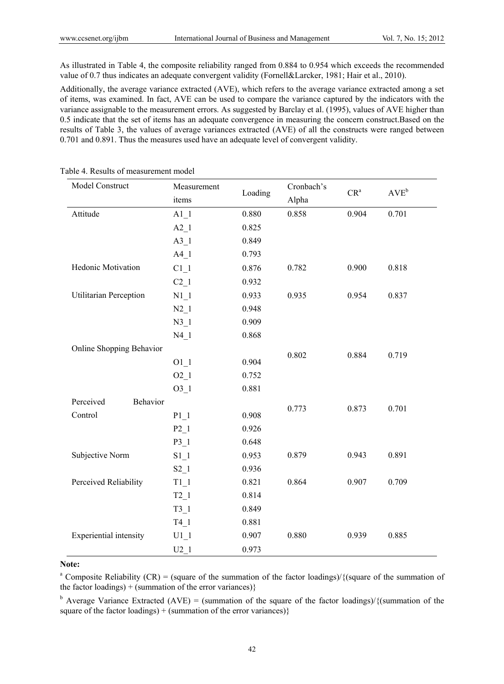As illustrated in Table 4, the composite reliability ranged from 0.884 to 0.954 which exceeds the recommended value of 0.7 thus indicates an adequate convergent validity (Fornell&Larcker, 1981; Hair et al., 2010).

Additionally, the average variance extracted (AVE), which refers to the average variance extracted among a set of items, was examined. In fact, AVE can be used to compare the variance captured by the indicators with the variance assignable to the measurement errors. As suggested by Barclay et al. (1995), values of AVE higher than 0.5 indicate that the set of items has an adequate convergence in measuring the concern construct.Based on the results of Table 3, the values of average variances extracted (AVE) of all the constructs were ranged between 0.701 and 0.891. Thus the measures used have an adequate level of convergent validity.

| Model Construct          | Measurement | Loading | Cronbach's | CR <sup>a</sup> | $AVE^{b}$ |
|--------------------------|-------------|---------|------------|-----------------|-----------|
|                          | items       |         | Alpha      |                 |           |
| Attitude                 | $A1_1$      | 0.880   | 0.858      | 0.904           | 0.701     |
|                          | $A2_1$      | 0.825   |            |                 |           |
|                          | A3 1        | 0.849   |            |                 |           |
|                          | $A4_1$      | 0.793   |            |                 |           |
| Hedonic Motivation       | $C1_1$      | 0.876   | 0.782      | 0.900           | 0.818     |
|                          | $C2_1$      | 0.932   |            |                 |           |
| Utilitarian Perception   | N1 1        | 0.933   | 0.935      | 0.954           | 0.837     |
|                          | $N2_1$      | 0.948   |            |                 |           |
|                          | N3 1        | 0.909   |            |                 |           |
|                          | $N4_1$      | 0.868   |            |                 |           |
| Online Shopping Behavior |             |         | 0.802      | 0.884           | 0.719     |
|                          | $O1_1$      | 0.904   |            |                 |           |
|                          | $O2_{1}$    | 0.752   |            |                 |           |
|                          | $03_{1}$    | 0.881   |            |                 |           |
| Perceived<br>Behavior    |             |         | 0.773      | 0.873           | 0.701     |
| Control                  | P1 1        | 0.908   |            |                 |           |
|                          | $P2_1$      | 0.926   |            |                 |           |
|                          | $P3_1$      | 0.648   |            |                 |           |
| Subjective Norm          | $S1_1$      | 0.953   | 0.879      | 0.943           | 0.891     |
|                          | $S2_1$      | 0.936   |            |                 |           |
| Perceived Reliability    | $T1_1$      | 0.821   | 0.864      | 0.907           | 0.709     |
|                          | $T2_1$      | 0.814   |            |                 |           |
|                          | $T3_1$      | 0.849   |            |                 |           |
|                          | $T4_1$      | 0.881   |            |                 |           |
| Experiential intensity   | $U1_1$      | 0.907   | 0.880      | 0.939           | 0.885     |
|                          | $U2_1$      | 0.973   |            |                 |           |

Table 4. Results of measurement model

## **Note:**

<sup>a</sup> Composite Reliability (CR) = (square of the summation of the factor loadings)/{(square of the summation of the factor loadings) + (summation of the error variances) $\}$ 

<sup>b</sup> Average Variance Extracted (AVE) = (summation of the square of the factor loadings)/{(summation of the square of the factor loadings) + (summation of the error variances)}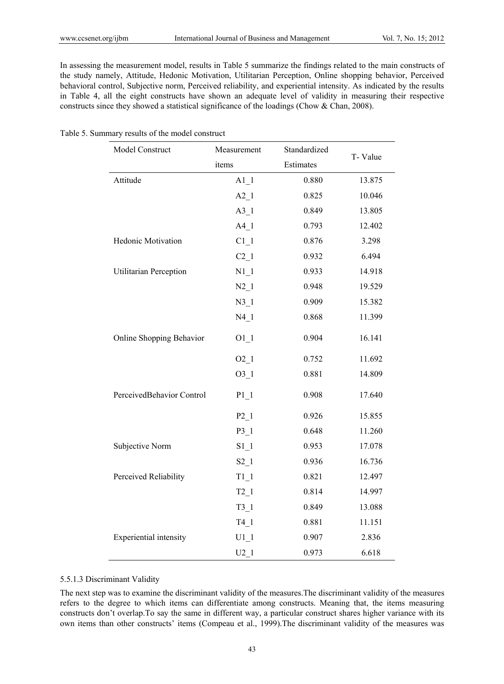In assessing the measurement model, results in Table 5 summarize the findings related to the main constructs of the study namely, Attitude, Hedonic Motivation, Utilitarian Perception, Online shopping behavior, Perceived behavioral control, Subjective norm, Perceived reliability, and experiential intensity. As indicated by the results in Table 4, all the eight constructs have shown an adequate level of validity in measuring their respective constructs since they showed a statistical significance of the loadings (Chow & Chan, 2008).

Table 5. Summary results of the model construct

| Model Construct           | Measurement | Standardized | T-Value |
|---------------------------|-------------|--------------|---------|
|                           | items       | Estimates    |         |
| Attitude                  | $A1_1$      | 0.880        | 13.875  |
|                           | $A2_1$      | 0.825        | 10.046  |
|                           | $A3_1$      | 0.849        | 13.805  |
|                           | $A4_1$      | 0.793        | 12.402  |
| Hedonic Motivation        | $C1_1$      | 0.876        | 3.298   |
|                           | $C2_1$      | 0.932        | 6.494   |
| Utilitarian Perception    | $N1_1$      | 0.933        | 14.918  |
|                           | $N2_1$      | 0.948        | 19.529  |
|                           | $N3_1$      | 0.909        | 15.382  |
|                           | $N4_1$      | 0.868        | 11.399  |
| Online Shopping Behavior  | $O1_1$      | 0.904        | 16.141  |
|                           | $02-1$      | 0.752        | 11.692  |
|                           | $03_1$      | 0.881        | 14.809  |
| PerceivedBehavior Control | $P1_1$      | 0.908        | 17.640  |
|                           | $P2_1$      | 0.926        | 15.855  |
|                           | $P3_1$      | 0.648        | 11.260  |
| Subjective Norm           | $S1_1$      | 0.953        | 17.078  |
|                           | $S2_1$      | 0.936        | 16.736  |
| Perceived Reliability     | $T1_1$      | 0.821        | 12.497  |
|                           | $T2_1$      | 0.814        | 14.997  |
|                           | $T3_1$      | 0.849        | 13.088  |
|                           | $T4_1$      | 0.881        | 11.151  |
| Experiential intensity    | $U1_1$      | 0.907        | 2.836   |
|                           | $U2_1$      | 0.973        | 6.618   |

#### 5.5.1.3 Discriminant Validity

The next step was to examine the discriminant validity of the measures.The discriminant validity of the measures refers to the degree to which items can differentiate among constructs. Meaning that, the items measuring constructs don't overlap.To say the same in different way, a particular construct shares higher variance with its own items than other constructs' items (Compeau et al., 1999).The discriminant validity of the measures was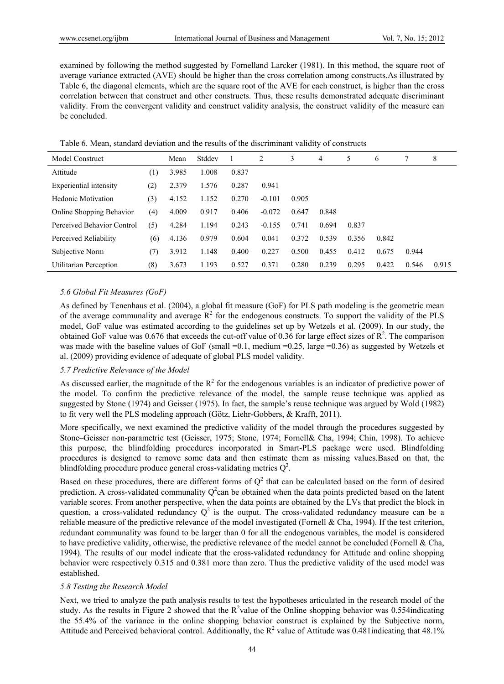examined by following the method suggested by Fornelland Larcker (1981). In this method, the square root of average variance extracted (AVE) should be higher than the cross correlation among constructs.As illustrated by Table 6, the diagonal elements, which are the square root of the AVE for each construct, is higher than the cross correlation between that construct and other constructs. Thus, these results demonstrated adequate discriminant validity. From the convergent validity and construct validity analysis, the construct validity of the measure can be concluded.

| Table 6. Mean, standard deviation and the results of the discriminant validity of constructs |  |  |  |  |  |
|----------------------------------------------------------------------------------------------|--|--|--|--|--|
|----------------------------------------------------------------------------------------------|--|--|--|--|--|

| Model Construct            |                  | Mean  | Stddev |       | 2        | 3     | $\overline{4}$ | 5     | 6     | 7     | 8     |
|----------------------------|------------------|-------|--------|-------|----------|-------|----------------|-------|-------|-------|-------|
| Attitude                   | $\left(1\right)$ | 3.985 | 1.008  | 0.837 |          |       |                |       |       |       |       |
| Experiential intensity     | (2)              | 2.379 | 1.576  | 0.287 | 0.941    |       |                |       |       |       |       |
| Hedonic Motivation         | (3)              | 4.152 | 1.152  | 0.270 | $-0.101$ | 0.905 |                |       |       |       |       |
| Online Shopping Behavior   | (4)              | 4.009 | 0.917  | 0.406 | $-0.072$ | 0.647 | 0.848          |       |       |       |       |
| Perceived Behavior Control | (5)              | 4.284 | 1.194  | 0.243 | $-0.155$ | 0.741 | 0.694          | 0.837 |       |       |       |
| Perceived Reliability      | (6)              | 4.136 | 0.979  | 0.604 | 0.041    | 0.372 | 0.539          | 0.356 | 0.842 |       |       |
| Subjective Norm            | (7)              | 3.912 | 1.148  | 0.400 | 0.227    | 0.500 | 0.455          | 0.412 | 0.675 | 0.944 |       |
| Utilitarian Perception     | (8)              | 3.673 | 1.193  | 0.527 | 0.371    | 0.280 | 0.239          | 0.295 | 0.422 | 0.546 | 0.915 |

## *5.6 Global Fit Measures (GoF)*

As defined by Tenenhaus et al. (2004), a global fit measure (GoF) for PLS path modeling is the geometric mean of the average communality and average  $R^2$  for the endogenous constructs. To support the validity of the PLS model, GoF value was estimated according to the guidelines set up by Wetzels et al. (2009). In our study, the obtained GoF value was 0.676 that exceeds the cut-off value of 0.36 for large effect sizes of  $\mathbb{R}^2$ . The comparison was made with the baseline values of GoF (small =0.1, medium =0.25, large =0.36) as suggested by Wetzels et al. (2009) providing evidence of adequate of global PLS model validity.

# *5.7 Predictive Relevance of the Model*

As discussed earlier, the magnitude of the  $R^2$  for the endogenous variables is an indicator of predictive power of the model. To confirm the predictive relevance of the model, the sample reuse technique was applied as suggested by Stone (1974) and Geisser (1975). In fact, the sample's reuse technique was argued by Wold (1982) to fit very well the PLS modeling approach (Götz, Liehr-Gobbers, & Krafft, 2011).

More specifically, we next examined the predictive validity of the model through the procedures suggested by Stone–Geisser non-parametric test (Geisser, 1975; Stone, 1974; Fornell& Cha, 1994; Chin, 1998). To achieve this purpose, the blindfolding procedures incorporated in Smart-PLS package were used. Blindfolding procedures is designed to remove some data and then estimate them as missing values.Based on that, the blindfolding procedure produce general cross-validating metrics  $Q^2$ .

Based on these procedures, there are different forms of  $Q^2$  that can be calculated based on the form of desired prediction. A cross-validated communality  $Q^2$ can be obtained when the data points predicted based on the latent variable scores. From another perspective, when the data points are obtained by the LVs that predict the block in question, a cross-validated redundancy  $Q^2$  is the output. The cross-validated redundancy measure can be a reliable measure of the predictive relevance of the model investigated (Fornell & Cha, 1994). If the test criterion, redundant communality was found to be larger than 0 for all the endogenous variables, the model is considered to have predictive validity, otherwise, the predictive relevance of the model cannot be concluded (Fornell  $\&$  Cha, 1994). The results of our model indicate that the cross-validated redundancy for Attitude and online shopping behavior were respectively 0.315 and 0.381 more than zero. Thus the predictive validity of the used model was established.

## *5.8 Testing the Research Model*

Next, we tried to analyze the path analysis results to test the hypotheses articulated in the research model of the study. As the results in Figure 2 showed that the  $R^2$ value of the Online shopping behavior was 0.554indicating the 55.4% of the variance in the online shopping behavior construct is explained by the Subjective norm, Attitude and Perceived behavioral control. Additionally, the  $R^2$  value of Attitude was 0.481 indicating that 48.1%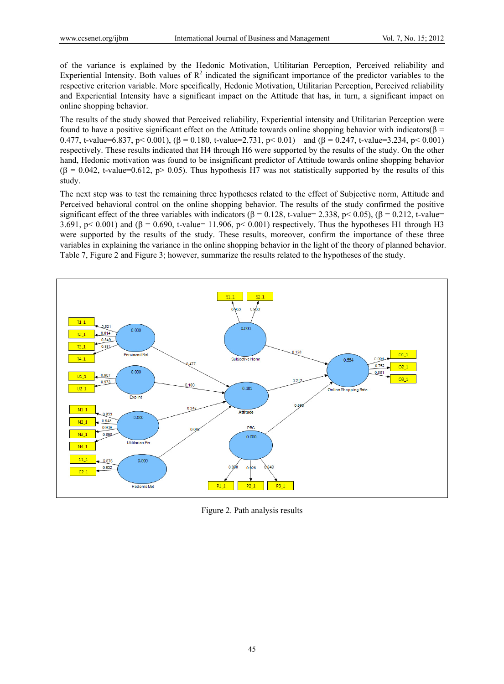of the variance is explained by the Hedonic Motivation, Utilitarian Perception, Perceived reliability and Experiential Intensity. Both values of  $\mathbb{R}^2$  indicated the significant importance of the predictor variables to the respective criterion variable. More specifically, Hedonic Motivation, Utilitarian Perception, Perceived reliability and Experiential Intensity have a significant impact on the Attitude that has, in turn, a significant impact on online shopping behavior.

The results of the study showed that Perceived reliability, Experiential intensity and Utilitarian Perception were found to have a positive significant effect on the Attitude towards online shopping behavior with indicators( $\beta$  = 0.477, t-value=6.837, p< 0.001),  $(\beta = 0.180, t$ -value=2.731, p< 0.01) and  $(\beta = 0.247, t$ -value=3.234, p< 0.001) respectively. These results indicated that H4 through H6 were supported by the results of the study. On the other hand, Hedonic motivation was found to be insignificant predictor of Attitude towards online shopping behavior  $( \beta = 0.042, t-value=0.612, p> 0.05)$ . Thus hypothesis H7 was not statistically supported by the results of this study.

The next step was to test the remaining three hypotheses related to the effect of Subjective norm, Attitude and Perceived behavioral control on the online shopping behavior. The results of the study confirmed the positive significant effect of the three variables with indicators ( $\beta = 0.128$ , t-value= 2.338, p< 0.05), ( $\beta = 0.212$ , t-value= 3.691, p< 0.001) and ( $\beta$  = 0.690, t-value= 11.906, p< 0.001) respectively. Thus the hypotheses H1 through H3 were supported by the results of the study. These results, moreover, confirm the importance of these three variables in explaining the variance in the online shopping behavior in the light of the theory of planned behavior. Table 7, Figure 2 and Figure 3; however, summarize the results related to the hypotheses of the study.



Figure 2. Path analysis results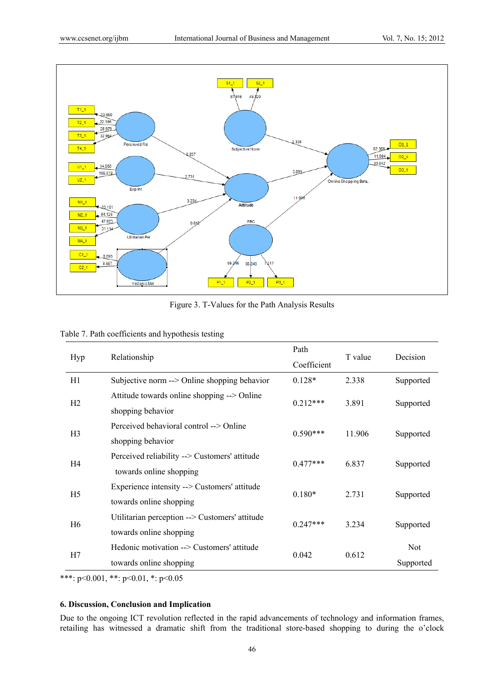

Figure 3. T-Values for the Path Analysis Results

|  | Table 7. Path coefficients and hypothesis testing |  |  |
|--|---------------------------------------------------|--|--|
|  |                                                   |  |  |

| Hyp            | Relationship                                                              | Path<br>Coefficient | T value | Decision   |  |
|----------------|---------------------------------------------------------------------------|---------------------|---------|------------|--|
| H1             | Subjective norm --> Online shopping behavior                              | $0.128*$            | 2.338   | Supported  |  |
| H <sub>2</sub> | Attitude towards online shopping --> Online<br>shopping behavior          | $0.212***$          | 3.891   | Supported  |  |
| H <sub>3</sub> | Perceived behavioral control --> Online<br>shopping behavior              | $0.590***$          | 11.906  | Supported  |  |
| H4             | Perceived reliability --> Customers' attitude<br>towards online shopping  | $0.477***$          | 6.837   | Supported  |  |
| H5             | Experience intensity --> Customers' attitude<br>towards online shopping   | $0.180*$            | 2.731   | Supported  |  |
| H6             | Utilitarian perception --> Customers' attitude<br>towards online shopping | $0.247***$          | 3.234   | Supported  |  |
| H7             | Hedonic motivation --> Customers' attitude                                | 0.042               | 0.612   | <b>Not</b> |  |
|                | towards online shopping                                                   |                     |         | Supported  |  |

\*\*\*: p<0.001, \*\*: p<0.01, \*: p<0.05

# **6. Discussion, Conclusion and Implication**

Due to the ongoing ICT revolution reflected in the rapid advancements of technology and information frames, retailing has witnessed a dramatic shift from the traditional store-based shopping to during the o'clock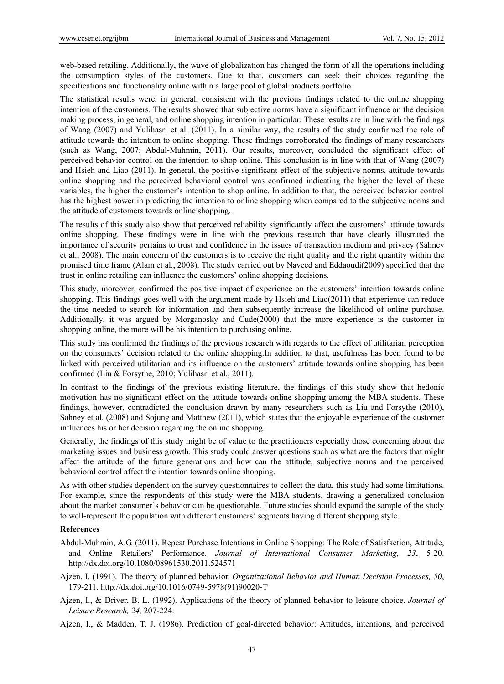web-based retailing. Additionally, the wave of globalization has changed the form of all the operations including the consumption styles of the customers. Due to that, customers can seek their choices regarding the specifications and functionality online within a large pool of global products portfolio.

The statistical results were, in general, consistent with the previous findings related to the online shopping intention of the customers. The results showed that subjective norms have a significant influence on the decision making process, in general, and online shopping intention in particular. These results are in line with the findings of Wang (2007) and Yulihasri et al. (2011). In a similar way, the results of the study confirmed the role of attitude towards the intention to online shopping. These findings corroborated the findings of many researchers (such as Wang, 2007; Abdul-Muhmin, 2011). Our results, moreover, concluded the significant effect of perceived behavior control on the intention to shop online. This conclusion is in line with that of Wang (2007) and Hsieh and Liao (2011). In general, the positive significant effect of the subjective norms, attitude towards online shopping and the perceived behavioral control was confirmed indicating the higher the level of these variables, the higher the customer's intention to shop online. In addition to that, the perceived behavior control has the highest power in predicting the intention to online shopping when compared to the subjective norms and the attitude of customers towards online shopping.

The results of this study also show that perceived reliability significantly affect the customers' attitude towards online shopping. These findings were in line with the previous research that have clearly illustrated the importance of security pertains to trust and confidence in the issues of transaction medium and privacy (Sahney et al., 2008). The main concern of the customers is to receive the right quality and the right quantity within the promised time frame (Alam et al., 2008). The study carried out by Naveed and Eddaoudi(2009) specified that the trust in online retailing can influence the customers' online shopping decisions.

This study, moreover, confirmed the positive impact of experience on the customers' intention towards online shopping. This findings goes well with the argument made by Hsieh and Liao(2011) that experience can reduce the time needed to search for information and then subsequently increase the likelihood of online purchase. Additionally, it was argued by Morganosky and Cude(2000) that the more experience is the customer in shopping online, the more will be his intention to purchasing online.

This study has confirmed the findings of the previous research with regards to the effect of utilitarian perception on the consumers' decision related to the online shopping.In addition to that, usefulness has been found to be linked with perceived utilitarian and its influence on the customers' attitude towards online shopping has been confirmed (Liu & Forsythe, 2010; Yulihasri et al., 2011).

In contrast to the findings of the previous existing literature, the findings of this study show that hedonic motivation has no significant effect on the attitude towards online shopping among the MBA students. These findings, however, contradicted the conclusion drawn by many researchers such as Liu and Forsythe (2010), Sahney et al. (2008) and Sojung and Matthew (2011), which states that the enjoyable experience of the customer influences his or her decision regarding the online shopping.

Generally, the findings of this study might be of value to the practitioners especially those concerning about the marketing issues and business growth. This study could answer questions such as what are the factors that might affect the attitude of the future generations and how can the attitude, subjective norms and the perceived behavioral control affect the intention towards online shopping.

As with other studies dependent on the survey questionnaires to collect the data, this study had some limitations. For example, since the respondents of this study were the MBA students, drawing a generalized conclusion about the market consumer's behavior can be questionable. Future studies should expand the sample of the study to well-represent the population with different customers' segments having different shopping style.

## **References**

- Abdul-Muhmin, A.G. (2011). Repeat Purchase Intentions in Online Shopping: The Role of Satisfaction, Attitude, and Online Retailers' Performance. *Journal of International Consumer Marketing, 23*, 5-20. http://dx.doi.org/10.1080/08961530.2011.524571
- Ajzen, I. (1991). The theory of planned behavior. *Organizational Behavior and Human Decision Processes, 50*, 179-211. http://dx.doi.org/10.1016/0749-5978(91)90020-T
- Ajzen, I., & Driver, B. L. (1992). Applications of the theory of planned behavior to leisure choice. *Journal of Leisure Research, 24,* 207-224.
- Ajzen, I., & Madden, T. J. (1986). Prediction of goal-directed behavior: Attitudes, intentions, and perceived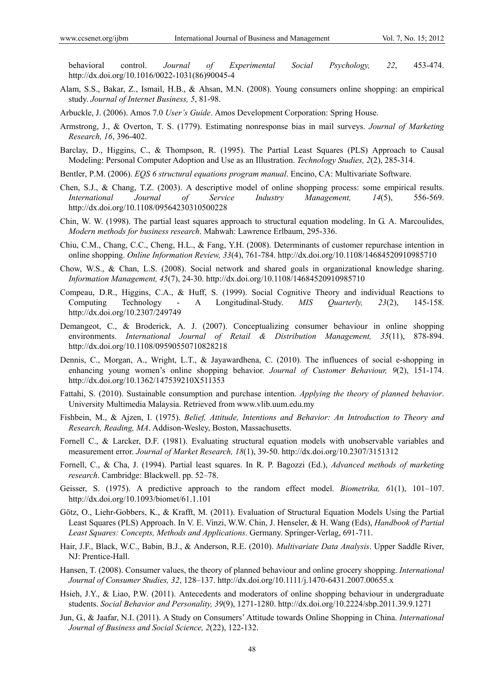behavioral control. *Journal of Experimental Social Psychology, 22*, 453-474. http://dx.doi.org/10.1016/0022-1031(86)90045-4

- Alam, S.S., Bakar, Z., Ismail, H.B., & Ahsan, M.N. (2008). Young consumers online shopping: an empirical study. *Journal of Internet Business, 5*, 81-98.
- Arbuckle, J. (2006). Amos 7.0 *User's Guide*. Amos Development Corporation: Spring House.
- Armstrong, J., & Overton, T. S. (1779). Estimating nonresponse bias in mail surveys. *Journal of Marketing Research, 16*, 396-402.
- Barclay, D., Higgins, C., & Thompson, R. (1995). The Partial Least Squares (PLS) Approach to Causal Modeling: Personal Computer Adoption and Use as an Illustration. *Technology Studies, 2*(2), 285-314.
- Bentler, P.M. (2006). *EQS 6 structural equations program manual*. Encino, CA: Multivariate Software.
- Chen, S.J., & Chang, T.Z. (2003). A descriptive model of online shopping process: some empirical results. *International Journal of Service Industry Management, 14*(5), 556-569. http://dx.doi.org/10.1108/09564230310500228
- Chin, W. W. (1998). The partial least squares approach to structural equation modeling. In G. A. Marcoulides, *Modern methods for business research*. Mahwah: Lawrence Erlbaum, 295-336.
- Chiu, C.M., Chang, C.C., Cheng, H.L., & Fang, Y.H. (2008). Determinants of customer repurchase intention in online shopping. *Online Information Review, 33*(4), 761-784. http://dx.doi.org/10.1108/14684520910985710
- Chow, W.S., & Chan, L.S. (2008). Social network and shared goals in organizational knowledge sharing. *Information Management, 45*(7), 24-30. http://dx.doi.org/10.1108/14684520910985710
- Compeau, D.R., Higgins, C.A., & Huff, S. (1999). Social Cognitive Theory and individual Reactions to Computing Technology - A Longitudinal-Study. *MIS Quarterly, 23*(2), 145-158. http://dx.doi.org/10.2307/249749
- Demangeot, C., & Broderick, A. J. (2007). Conceptualizing consumer behaviour in online shopping environments. *International Journal of Retail & Distribution Management, 35*(11), 878-894. http://dx.doi.org/10.1108/09590550710828218
- Dennis, C., Morgan, A., Wright, L.T., & Jayawardhena, C. (2010). The influences of social e-shopping in enhancing young women's online shopping behavior. *Journal of Customer Behaviour, 9*(2), 151-174. http://dx.doi.org/10.1362/147539210X511353
- Fattahi, S. (2010). Sustainable consumption and purchase intention. *Applying the theory of planned behavior*. University Multimedia Malaysia. Retrieved from www.vlib.uum.edu.my
- Fishbein, M., & Ajzen, I. (1975). *Belief, Attitude, Intentions and Behavior: An Introduction to Theory and Research, Reading, MA*. Addison-Wesley, Boston, Massachusetts.
- Fornell C., & Larcker, D.F. (1981). Evaluating structural equation models with unobservable variables and measurement error. *Journal of Market Research, 18*(1), 39-50. http://dx.doi.org/10.2307/3151312
- Fornell, C., & Cha, J. (1994). Partial least squares. In R. P. Bagozzi (Ed.), *Advanced methods of marketing research*. Cambridge: Blackwell. pp. 52–78.
- Geisser, S. (1975). A predictive approach to the random effect model. *Biometrika, 6*1(1), 101–107. http://dx.doi.org/10.1093/biomet/61.1.101
- Götz, O., Liehr-Gobbers, K., & Krafft, M. (2011). Evaluation of Structural Equation Models Using the Partial Least Squares (PLS) Approach. In V. E. Vinzi, W.W. Chin, J. Henseler, & H. Wang (Eds), *Handbook of Partial Least Squares: Concepts, Methods and Applications*. Germany. Springer-Verlag, 691-711.
- Hair, J.F., Black, W.C., Babin, B.J., & Anderson, R.E. (2010). *Multivariate Data Analysis*. Upper Saddle River, NJ: Prentice-Hall.
- Hansen, T. (2008). Consumer values, the theory of planned behaviour and online grocery shopping. *International Journal of Consumer Studies, 32*, 128–137. http://dx.doi.org/10.1111/j.1470-6431.2007.00655.x
- Hsieh, J.Y., & Liao, P.W. (2011). Antecedents and moderators of online shopping behaviour in undergraduate students. *Social Behavior and Personality, 39*(9), 1271-1280. http://dx.doi.org/10.2224/sbp.2011.39.9.1271
- Jun, G., & Jaafar, N.I. (2011). A Study on Consumers' Attitude towards Online Shopping in China. *International Journal of Business and Social Science, 2*(22), 122-132.